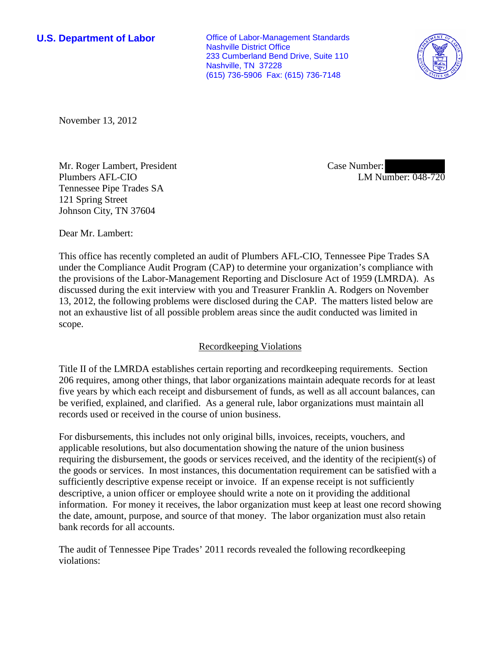**U.S. Department of Labor Conservative Conservative Conservative Conservative Conservative Conservative Conservative Conservative Conservative Conservative Conservative Conservative Conservative Conservative Conservative** Nashville District Office 233 Cumberland Bend Drive, Suite 110 Nashville, TN 37228 (615) 736-5906 Fax: (615) 736-7148



November 13, 2012

Mr. Roger Lambert, President Plumbers AFL-CIO Tennessee Pipe Trades SA 121 Spring Street Johnson City, TN 37604

Case Number: LM Number: 048-720

Dear Mr. Lambert:

This office has recently completed an audit of Plumbers AFL-CIO, Tennessee Pipe Trades SA under the Compliance Audit Program (CAP) to determine your organization's compliance with the provisions of the Labor-Management Reporting and Disclosure Act of 1959 (LMRDA). As discussed during the exit interview with you and Treasurer Franklin A. Rodgers on November 13, 2012, the following problems were disclosed during the CAP. The matters listed below are not an exhaustive list of all possible problem areas since the audit conducted was limited in scope.

# Recordkeeping Violations

Title II of the LMRDA establishes certain reporting and recordkeeping requirements. Section 206 requires, among other things, that labor organizations maintain adequate records for at least five years by which each receipt and disbursement of funds, as well as all account balances, can be verified, explained, and clarified. As a general rule, labor organizations must maintain all records used or received in the course of union business.

For disbursements, this includes not only original bills, invoices, receipts, vouchers, and applicable resolutions, but also documentation showing the nature of the union business requiring the disbursement, the goods or services received, and the identity of the recipient(s) of the goods or services. In most instances, this documentation requirement can be satisfied with a sufficiently descriptive expense receipt or invoice. If an expense receipt is not sufficiently descriptive, a union officer or employee should write a note on it providing the additional information. For money it receives, the labor organization must keep at least one record showing the date, amount, purpose, and source of that money. The labor organization must also retain bank records for all accounts.

The audit of Tennessee Pipe Trades' 2011 records revealed the following recordkeeping violations: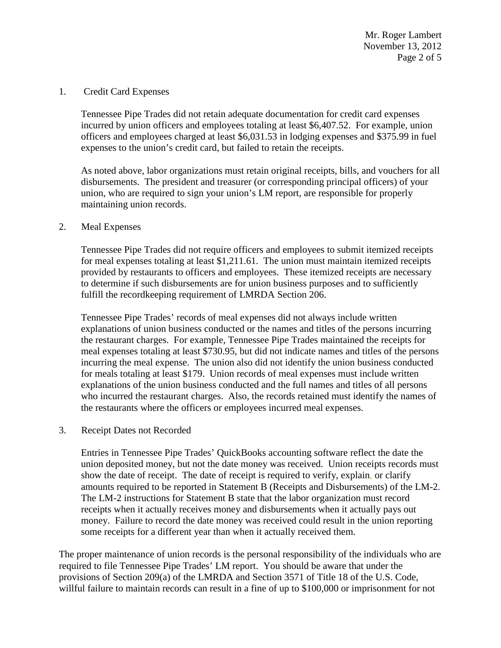Mr. Roger Lambert November 13, 2012 Page 2 of 5

1. Credit Card Expenses

Tennessee Pipe Trades did not retain adequate documentation for credit card expenses incurred by union officers and employees totaling at least \$6,407.52. For example, union officers and employees charged at least \$6,031.53 in lodging expenses and \$375.99 in fuel expenses to the union's credit card, but failed to retain the receipts.

As noted above, labor organizations must retain original receipts, bills, and vouchers for all disbursements. The president and treasurer (or corresponding principal officers) of your union, who are required to sign your union's LM report, are responsible for properly maintaining union records.

### 2. Meal Expenses

Tennessee Pipe Trades did not require officers and employees to submit itemized receipts for meal expenses totaling at least \$1,211.61. The union must maintain itemized receipts provided by restaurants to officers and employees. These itemized receipts are necessary to determine if such disbursements are for union business purposes and to sufficiently fulfill the recordkeeping requirement of LMRDA Section 206.

Tennessee Pipe Trades' records of meal expenses did not always include written explanations of union business conducted or the names and titles of the persons incurring the restaurant charges. For example, Tennessee Pipe Trades maintained the receipts for meal expenses totaling at least \$730.95, but did not indicate names and titles of the persons incurring the meal expense. The union also did not identify the union business conducted for meals totaling at least \$179. Union records of meal expenses must include written explanations of the union business conducted and the full names and titles of all persons who incurred the restaurant charges. Also, the records retained must identify the names of the restaurants where the officers or employees incurred meal expenses.

3. Receipt Dates not Recorded

Entries in Tennessee Pipe Trades' QuickBooks accounting software reflect the date the union deposited money, but not the date money was received. Union receipts records must show the date of receipt. The date of receipt is required to verify, explain, or clarify amounts required to be reported in Statement B (Receipts and Disbursements) of the LM-2. The LM-2 instructions for Statement B state that the labor organization must record receipts when it actually receives money and disbursements when it actually pays out money. Failure to record the date money was received could result in the union reporting some receipts for a different year than when it actually received them.

The proper maintenance of union records is the personal responsibility of the individuals who are required to file Tennessee Pipe Trades' LM report. You should be aware that under the provisions of Section 209(a) of the LMRDA and Section 3571 of Title 18 of the U.S. Code, willful failure to maintain records can result in a fine of up to \$100,000 or imprisonment for not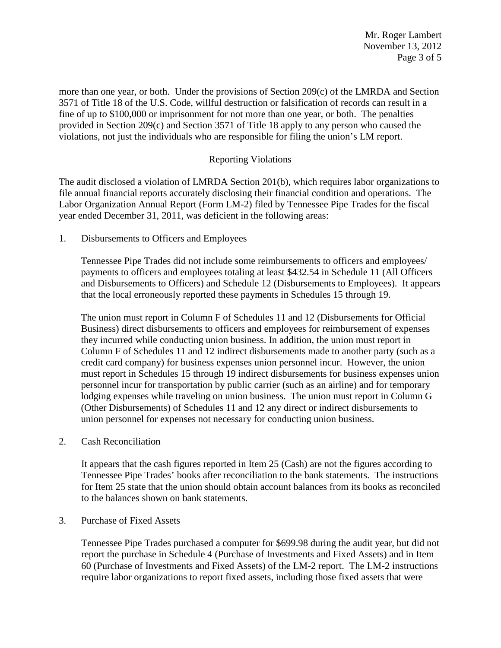Mr. Roger Lambert November 13, 2012 Page 3 of 5

more than one year, or both. Under the provisions of Section 209(c) of the LMRDA and Section 3571 of Title 18 of the U.S. Code, willful destruction or falsification of records can result in a fine of up to \$100,000 or imprisonment for not more than one year, or both. The penalties provided in Section 209(c) and Section 3571 of Title 18 apply to any person who caused the violations, not just the individuals who are responsible for filing the union's LM report.

# Reporting Violations

The audit disclosed a violation of LMRDA Section 201(b), which requires labor organizations to file annual financial reports accurately disclosing their financial condition and operations. The Labor Organization Annual Report (Form LM-2) filed by Tennessee Pipe Trades for the fiscal year ended December 31, 2011, was deficient in the following areas:

1. Disbursements to Officers and Employees

Tennessee Pipe Trades did not include some reimbursements to officers and employees/ payments to officers and employees totaling at least \$432.54 in Schedule 11 (All Officers and Disbursements to Officers) and Schedule 12 (Disbursements to Employees). It appears that the local erroneously reported these payments in Schedules 15 through 19.

The union must report in Column F of Schedules 11 and 12 (Disbursements for Official Business) direct disbursements to officers and employees for reimbursement of expenses they incurred while conducting union business. In addition, the union must report in Column F of Schedules 11 and 12 indirect disbursements made to another party (such as a credit card company) for business expenses union personnel incur. However, the union must report in Schedules 15 through 19 indirect disbursements for business expenses union personnel incur for transportation by public carrier (such as an airline) and for temporary lodging expenses while traveling on union business. The union must report in Column G (Other Disbursements) of Schedules 11 and 12 any direct or indirect disbursements to union personnel for expenses not necessary for conducting union business.

2. Cash Reconciliation

It appears that the cash figures reported in Item 25 (Cash) are not the figures according to Tennessee Pipe Trades' books after reconciliation to the bank statements. The instructions for Item 25 state that the union should obtain account balances from its books as reconciled to the balances shown on bank statements.

#### 3. Purchase of Fixed Assets

Tennessee Pipe Trades purchased a computer for \$699.98 during the audit year, but did not report the purchase in Schedule 4 (Purchase of Investments and Fixed Assets) and in Item 60 (Purchase of Investments and Fixed Assets) of the LM-2 report. The LM-2 instructions require labor organizations to report fixed assets, including those fixed assets that were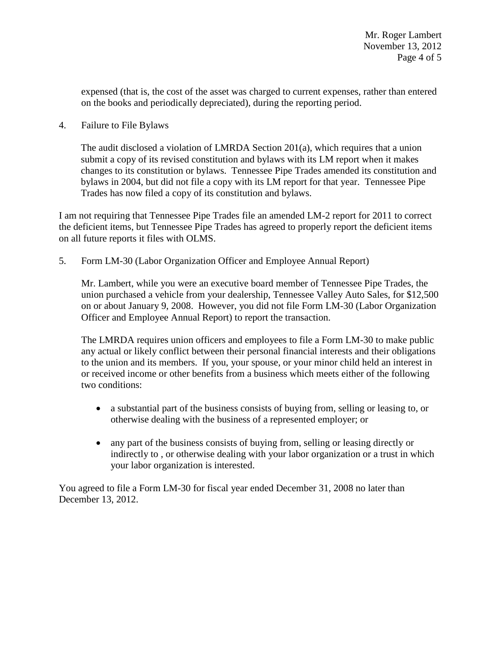expensed (that is, the cost of the asset was charged to current expenses, rather than entered on the books and periodically depreciated), during the reporting period.

4. Failure to File Bylaws

The audit disclosed a violation of LMRDA Section 201(a), which requires that a union submit a copy of its revised constitution and bylaws with its LM report when it makes changes to its constitution or bylaws. Tennessee Pipe Trades amended its constitution and bylaws in 2004, but did not file a copy with its LM report for that year. Tennessee Pipe Trades has now filed a copy of its constitution and bylaws.

I am not requiring that Tennessee Pipe Trades file an amended LM-2 report for 2011 to correct the deficient items, but Tennessee Pipe Trades has agreed to properly report the deficient items on all future reports it files with OLMS.

5. Form LM-30 (Labor Organization Officer and Employee Annual Report)

Mr. Lambert, while you were an executive board member of Tennessee Pipe Trades, the union purchased a vehicle from your dealership, Tennessee Valley Auto Sales, for \$12,500 on or about January 9, 2008. However, you did not file Form LM-30 (Labor Organization Officer and Employee Annual Report) to report the transaction.

The LMRDA requires union officers and employees to file a Form LM-30 to make public any actual or likely conflict between their personal financial interests and their obligations to the union and its members. If you, your spouse, or your minor child held an interest in or received income or other benefits from a business which meets either of the following two conditions:

- a substantial part of the business consists of buying from, selling or leasing to, or otherwise dealing with the business of a represented employer; or
- any part of the business consists of buying from, selling or leasing directly or indirectly to , or otherwise dealing with your labor organization or a trust in which your labor organization is interested.

You agreed to file a Form LM-30 for fiscal year ended December 31, 2008 no later than December 13, 2012.